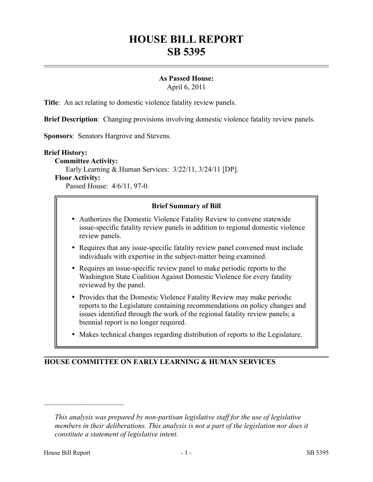# **HOUSE BILL REPORT SB 5395**

## **As Passed House:**

April 6, 2011

**Title**: An act relating to domestic violence fatality review panels.

**Brief Description**: Changing provisions involving domestic violence fatality review panels.

**Sponsors**: Senators Hargrove and Stevens.

#### **Brief History:**

**Committee Activity:** Early Learning & Human Services: 3/22/11, 3/24/11 [DP]. **Floor Activity:**

Passed House: 4/6/11, 97-0.

## **Brief Summary of Bill**

- Authorizes the Domestic Violence Fatality Review to convene statewide issue-specific fatality review panels in addition to regional domestic violence review panels.
- Requires that any issue-specific fatality review panel convened must include individuals with expertise in the subject-matter being examined.
- Requires an issue-specific review panel to make periodic reports to the Washington State Coalition Against Domestic Violence for every fatality reviewed by the panel.
- Provides that the Domestic Violence Fatality Review may make periodic reports to the Legislature containing recommendations on policy changes and issues identified through the work of the regional fatality review panels; a biennial report is no longer required.
- Makes technical changes regarding distribution of reports to the Legislature.

## **HOUSE COMMITTEE ON EARLY LEARNING & HUMAN SERVICES**

––––––––––––––––––––––

*This analysis was prepared by non-partisan legislative staff for the use of legislative members in their deliberations. This analysis is not a part of the legislation nor does it constitute a statement of legislative intent.*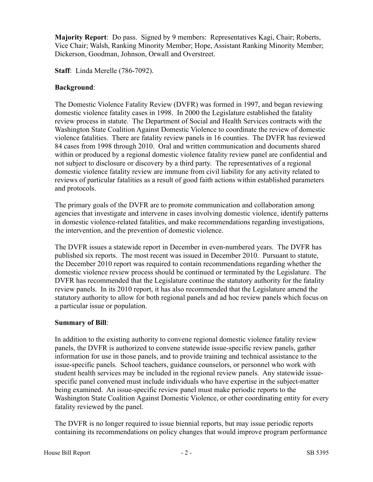**Majority Report**: Do pass. Signed by 9 members: Representatives Kagi, Chair; Roberts, Vice Chair; Walsh, Ranking Minority Member; Hope, Assistant Ranking Minority Member; Dickerson, Goodman, Johnson, Orwall and Overstreet.

**Staff**: Linda Merelle (786-7092).

## **Background**:

The Domestic Violence Fatality Review (DVFR) was formed in 1997, and began reviewing domestic violence fatality cases in 1998. In 2000 the Legislature established the fatality review process in statute. The Department of Social and Health Services contracts with the Washington State Coalition Against Domestic Violence to coordinate the review of domestic violence fatalities. There are fatality review panels in 16 counties. The DVFR has reviewed 84 cases from 1998 through 2010. Oral and written communication and documents shared within or produced by a regional domestic violence fatality review panel are confidential and not subject to disclosure or discovery by a third party. The representatives of a regional domestic violence fatality review are immune from civil liability for any activity related to reviews of particular fatalities as a result of good faith actions within established parameters and protocols.

The primary goals of the DVFR are to promote communication and collaboration among agencies that investigate and intervene in cases involving domestic violence, identify patterns in domestic violence-related fatalities, and make recommendations regarding investigations, the intervention, and the prevention of domestic violence.

The DVFR issues a statewide report in December in even-numbered years. The DVFR has published six reports. The most recent was issued in December 2010. Pursuant to statute, the December 2010 report was required to contain recommendations regarding whether the domestic violence review process should be continued or terminated by the Legislature. The DVFR has recommended that the Legislature continue the statutory authority for the fatality review panels. In its 2010 report, it has also recommended that the Legislature amend the statutory authority to allow for both regional panels and ad hoc review panels which focus on a particular issue or population.

## **Summary of Bill**:

In addition to the existing authority to convene regional domestic violence fatality review panels, the DVFR is authorized to convene statewide issue-specific review panels, gather information for use in those panels, and to provide training and technical assistance to the issue-specific panels. School teachers, guidance counselors, or personnel who work with student health services may be included in the regional review panels. Any statewide issuespecific panel convened must include individuals who have expertise in the subject-matter being examined. An issue-specific review panel must make periodic reports to the Washington State Coalition Against Domestic Violence, or other coordinating entity for every fatality reviewed by the panel.

The DVFR is no longer required to issue biennial reports, but may issue periodic reports containing its recommendations on policy changes that would improve program performance